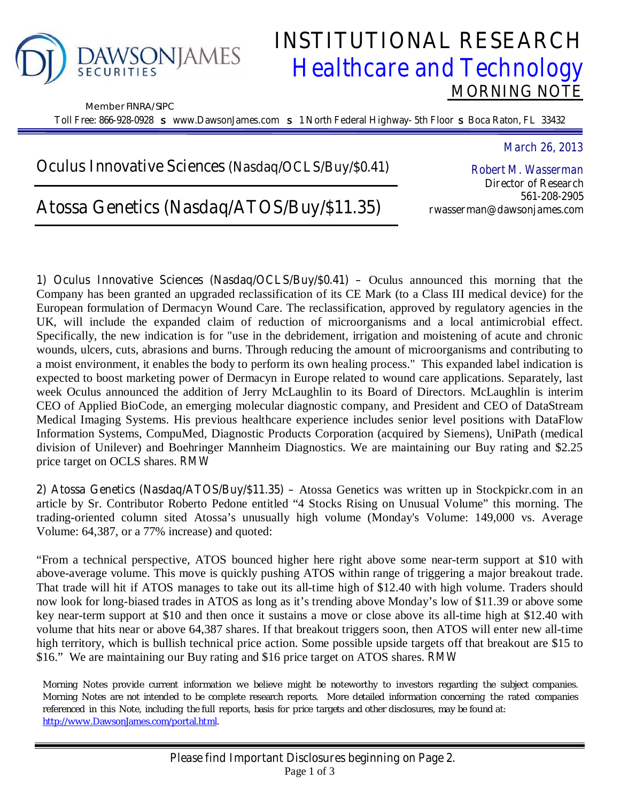

Member FINRA/SIPC

# **DAWSONJAMES INSTITUTIONAL RESEARCH**<br>*Healthcare and Technology Healthcare and Technology*  **MORNING NOTE**

**Toll Free: 866-928-0928** s **www.DawsonJames.com** s **1 North Federal Highway- 5th Floor** s **Boca Raton, FL 33432**

### **Oculus Innovative Sciences (Nasdaq/OCLS/Buy/\$0.41)**

# **Atossa Genetics (Nasdaq/ATOS/Buy/\$11.35)**

*March 26, 2013* 

*Robert M. Wasserman*  **Director of Research 561-208-2905 rwasserman@dawsonjames.com** 

**1) Oculus Innovative Sciences (Nasdaq/OCLS/Buy/\$0.41) –** Oculus announced this morning that the Company has been granted an upgraded reclassification of its CE Mark (to a Class III medical device) for the European formulation of Dermacyn Wound Care. The reclassification, approved by regulatory agencies in the UK, will include the expanded claim of reduction of microorganisms and a local antimicrobial effect. Specifically, the new indication is for "use in the debridement, irrigation and moistening of acute and chronic wounds, ulcers, cuts, abrasions and burns. Through reducing the amount of microorganisms and contributing to a moist environment, it enables the body to perform its own healing process." This expanded label indication is expected to boost marketing power of Dermacyn in Europe related to wound care applications. Separately, last week Oculus announced the addition of Jerry McLaughlin to its Board of Directors. McLaughlin is interim CEO of Applied BioCode, an emerging molecular diagnostic company, and President and CEO of DataStream Medical Imaging Systems. His previous healthcare experience includes senior level positions with DataFlow Information Systems, CompuMed, Diagnostic Products Corporation (acquired by Siemens), UniPath (medical division of Unilever) and Boehringer Mannheim Diagnostics. We are maintaining our Buy rating and \$2.25 price target on OCLS shares. *RMW*

**2) Atossa Genetics (Nasdaq/ATOS/Buy/\$11.35) –** Atossa Genetics was written up in Stockpickr.com in an article by Sr. Contributor Roberto Pedone entitled "4 Stocks Rising on Unusual Volume" this morning. The trading-oriented column sited Atossa's unusually high volume (Monday's Volume: 149,000 vs. Average Volume: 64,387, or a 77% increase) and quoted:

"From a technical perspective, ATOS bounced higher here right above some near-term support at \$10 with above-average volume. This move is quickly pushing ATOS within range of triggering a major breakout trade. That trade will hit if ATOS manages to take out its all-time high of \$12.40 with high volume. Traders should now look for long-biased trades in ATOS as long as it's trending above Monday's low of \$11.39 or above some key near-term support at \$10 and then once it sustains a move or close above its all-time high at \$12.40 with volume that hits near or above 64,387 shares. If that breakout triggers soon, then ATOS will enter new all-time high territory, which is bullish technical price action. Some possible upside targets off that breakout are \$15 to \$16." We are maintaining our Buy rating and \$16 price target on ATOS shares. *RMW*

Morning Notes provide current information we believe might be noteworthy to investors regarding the subject companies. Morning Notes are not intended to be complete research reports. More detailed information concerning the rated companies referenced in this Note, including the full reports, basis for price targets and other disclosures, may be found at: http://www.DawsonJames.com/portal.html.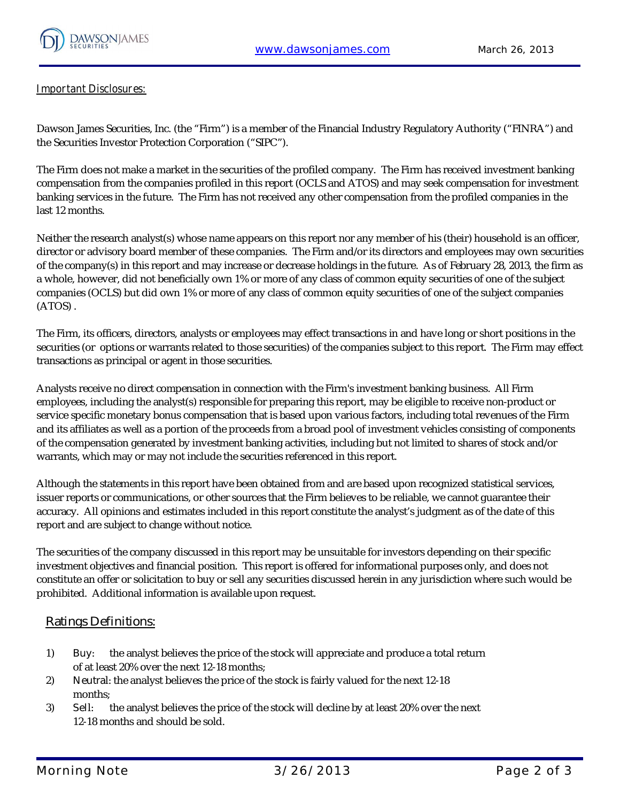

#### **Important Disclosures:**

Dawson James Securities, Inc. (the "Firm") is a member of the Financial Industry Regulatory Authority ("FINRA") and the Securities Investor Protection Corporation ("SIPC").

The Firm does not make a market in the securities of the profiled company. The Firm has received investment banking compensation from the companies profiled in this report (OCLS and ATOS) and may seek compensation for investment banking services in the future. The Firm has not received any other compensation from the profiled companies in the last 12 months.

Neither the research analyst(s) whose name appears on this report nor any member of his (their) household is an officer, director or advisory board member of these companies. The Firm and/or its directors and employees may own securities of the company(s) in this report and may increase or decrease holdings in the future. As of February 28, 2013, the firm as a whole, however, did not beneficially own 1% or more of any class of common equity securities of one of the subject companies (OCLS) but did own 1% or more of any class of common equity securities of one of the subject companies (ATOS) .

The Firm, its officers, directors, analysts or employees may effect transactions in and have long or short positions in the securities (or options or warrants related to those securities) of the companies subject to this report. The Firm may effect transactions as principal or agent in those securities.

Analysts receive no direct compensation in connection with the Firm's investment banking business. All Firm employees, including the analyst(s) responsible for preparing this report, may be eligible to receive non-product or service specific monetary bonus compensation that is based upon various factors, including total revenues of the Firm and its affiliates as well as a portion of the proceeds from a broad pool of investment vehicles consisting of components of the compensation generated by investment banking activities, including but not limited to shares of stock and/or warrants, which may or may not include the securities referenced in this report.

Although the statements in this report have been obtained from and are based upon recognized statistical services, issuer reports or communications, or other sources that the Firm believes to be reliable, we cannot guarantee their accuracy. All opinions and estimates included in this report constitute the analyst's judgment as of the date of this report and are subject to change without notice.

The securities of the company discussed in this report may be unsuitable for investors depending on their specific investment objectives and financial position. This report is offered for informational purposes only, and does not constitute an offer or solicitation to buy or sell any securities discussed herein in any jurisdiction where such would be prohibited. Additional information is available upon request.

#### **Ratings Definitions:**

- 1) **Buy**: the analyst believes the price of the stock will appreciate and produce a total return of at least 20% over the next 12-18 months;
- 2) **Neutra**l: the analyst believes the price of the stock is fairly valued for the next 12-18 months;
- 3) **Sel**l: the analyst believes the price of the stock will decline by at least 20% over the next 12-18 months and should be sold.